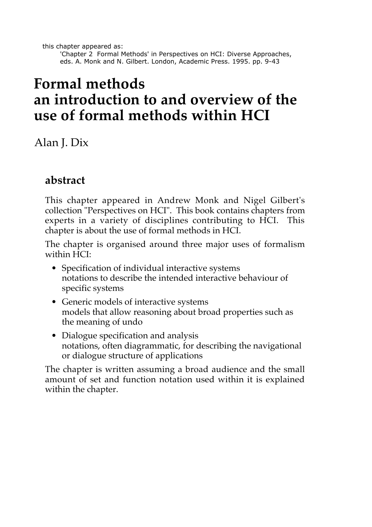this chapter appeared as: 'Chapter 2 Formal Methods' in Perspectives on HCI: Diverse Approaches, eds. A. Monk and N. Gilbert. London, Academic Press. 1995. pp. 9-43

# **Formal methods an introduction to and overview of the use of formal methods within HCI**

Alan J. Dix

## **abstract**

This chapter appeared in Andrew Monk and Nigel Gilbert's collection "Perspectives on HCI". This book contains chapters from experts in a variety of disciplines contributing to HCI. This chapter is about the use of formal methods in HCI.

The chapter is organised around three major uses of formalism within HCI:

- Specification of individual interactive systems notations to describe the intended interactive behaviour of specific systems
- Generic models of interactive systems models that allow reasoning about broad properties such as the meaning of undo
- Dialogue specification and analysis notations, often diagrammatic, for describing the navigational or dialogue structure of applications

The chapter is written assuming a broad audience and the small amount of set and function notation used within it is explained within the chapter.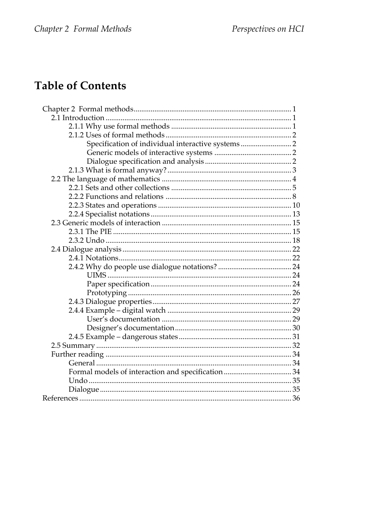# **Table of Contents**

| Specification of individual interactive systems 2 |  |
|---------------------------------------------------|--|
|                                                   |  |
|                                                   |  |
|                                                   |  |
|                                                   |  |
|                                                   |  |
|                                                   |  |
|                                                   |  |
|                                                   |  |
|                                                   |  |
|                                                   |  |
|                                                   |  |
|                                                   |  |
|                                                   |  |
|                                                   |  |
|                                                   |  |
|                                                   |  |
|                                                   |  |
|                                                   |  |
|                                                   |  |
|                                                   |  |
|                                                   |  |
|                                                   |  |
|                                                   |  |
|                                                   |  |
|                                                   |  |
|                                                   |  |
|                                                   |  |
|                                                   |  |
|                                                   |  |
|                                                   |  |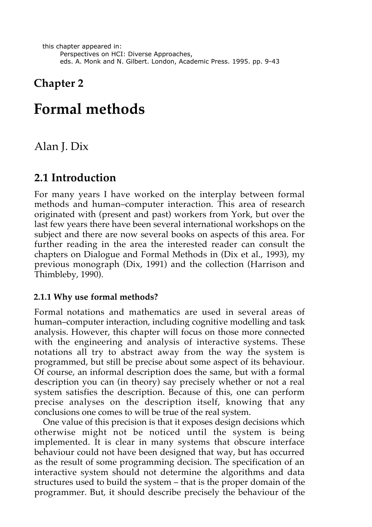this chapter appeared in: Perspectives on HCI: Diverse Approaches, eds. A. Monk and N. Gilbert. London, Academic Press. 1995. pp. 9-43

**Chapter 2**

# **Formal methods**

Alan J. Dix

## **2.1 Introduction**

For many years I have worked on the interplay between formal methods and human–computer interaction. This area of research originated with (present and past) workers from York, but over the last few years there have been several international workshops on the subject and there are now several books on aspects of this area. For further reading in the area the interested reader can consult the chapters on Dialogue and Formal Methods in (Dix et al., 1993), my previous monograph (Dix, 1991) and the collection (Harrison and Thimbleby, 1990).

## **2.1.1 Why use formal methods?**

Formal notations and mathematics are used in several areas of human–computer interaction, including cognitive modelling and task analysis. However, this chapter will focus on those more connected with the engineering and analysis of interactive systems. These notations all try to abstract away from the way the system is programmed, but still be precise about some aspect of its behaviour. Of course, an informal description does the same, but with a formal description you can (in theory) say precisely whether or not a real system satisfies the description. Because of this, one can perform precise analyses on the description itself, knowing that any conclusions one comes to will be true of the real system.

One value of this precision is that it exposes design decisions which otherwise might not be noticed until the system is being implemented. It is clear in many systems that obscure interface behaviour could not have been designed that way, but has occurred as the result of some programming decision. The specification of an interactive system should not determine the algorithms and data structures used to build the system – that is the proper domain of the programmer. But, it should describe precisely the behaviour of the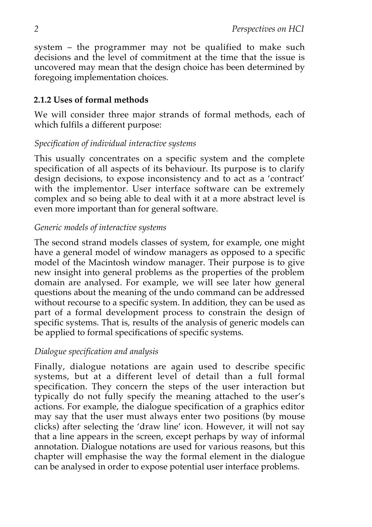system – the programmer may not be qualified to make such decisions and the level of commitment at the time that the issue is uncovered may mean that the design choice has been determined by foregoing implementation choices.

## **2.1.2 Uses of formal methods**

We will consider three major strands of formal methods, each of which fulfils a different purpose:

## *Specification of individual interactive systems*

This usually concentrates on a specific system and the complete specification of all aspects of its behaviour. Its purpose is to clarify design decisions, to expose inconsistency and to act as a 'contract' with the implementor. User interface software can be extremely complex and so being able to deal with it at a more abstract level is even more important than for general software.

## *Generic models of interactive systems*

The second strand models classes of system, for example, one might have a general model of window managers as opposed to a specific model of the Macintosh window manager. Their purpose is to give new insight into general problems as the properties of the problem domain are analysed. For example, we will see later how general questions about the meaning of the undo command can be addressed without recourse to a specific system. In addition, they can be used as part of a formal development process to constrain the design of specific systems. That is, results of the analysis of generic models can be applied to formal specifications of specific systems.

## *Dialogue specification and analysis*

Finally, dialogue notations are again used to describe specific systems, but at a different level of detail than a full formal specification. They concern the steps of the user interaction but typically do not fully specify the meaning attached to the user's actions. For example, the dialogue specification of a graphics editor may say that the user must always enter two positions (by mouse clicks) after selecting the 'draw line' icon. However, it will not say that a line appears in the screen, except perhaps by way of informal annotation. Dialogue notations are used for various reasons, but this chapter will emphasise the way the formal element in the dialogue can be analysed in order to expose potential user interface problems.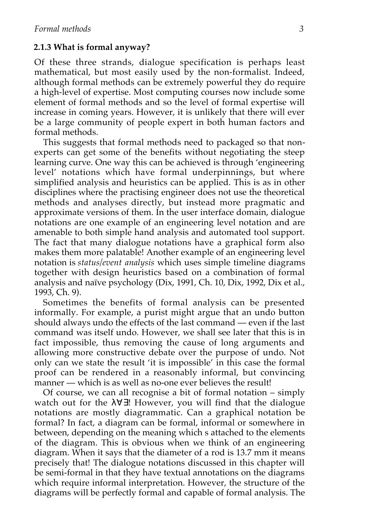#### **2.1.3 What is formal anyway?**

Of these three strands, dialogue specification is perhaps least mathematical, but most easily used by the non-formalist. Indeed, although formal methods can be extremely powerful they do require a high-level of expertise. Most computing courses now include some element of formal methods and so the level of formal expertise will increase in coming years. However, it is unlikely that there will ever be a large community of people expert in both human factors and formal methods.

This suggests that formal methods need to packaged so that nonexperts can get some of the benefits without negotiating the steep learning curve. One way this can be achieved is through 'engineering level' notations which have formal underpinnings, but where simplified analysis and heuristics can be applied. This is as in other disciplines where the practising engineer does not use the theoretical methods and analyses directly, but instead more pragmatic and approximate versions of them. In the user interface domain, dialogue notations are one example of an engineering level notation and are amenable to both simple hand analysis and automated tool support. The fact that many dialogue notations have a graphical form also makes them more palatable! Another example of an engineering level notation is *status/event analysis* which uses simple timeline diagrams together with design heuristics based on a combination of formal analysis and naïve psychology (Dix, 1991, Ch. 10, Dix, 1992, Dix et al., 1993, Ch. 9).

Sometimes the benefits of formal analysis can be presented informally. For example, a purist might argue that an undo button should always undo the effects of the last command — even if the last command was itself undo. However, we shall see later that this is in fact impossible, thus removing the cause of long arguments and allowing more constructive debate over the purpose of undo. Not only can we state the result 'it is impossible' in this case the formal proof can be rendered in a reasonably informal, but convincing manner — which is as well as no-one ever believes the result!

Of course, we can all recognise a bit of formal notation – simply watch out for the λ∀∃! However, you will find that the dialogue notations are mostly diagrammatic. Can a graphical notation be formal? In fact, a diagram can be formal, informal or somewhere in between, depending on the meaning which s attached to the elements of the diagram. This is obvious when we think of an engineering diagram. When it says that the diameter of a rod is 13.7 mm it means precisely that! The dialogue notations discussed in this chapter will be semi-formal in that they have textual annotations on the diagrams which require informal interpretation. However, the structure of the diagrams will be perfectly formal and capable of formal analysis. The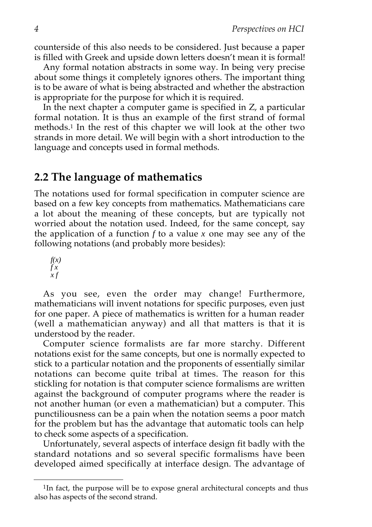counterside of this also needs to be considered. Just because a paper is filled with Greek and upside down letters doesn't mean it is formal!

Any formal notation abstracts in some way. In being very precise about some things it completely ignores others. The important thing is to be aware of what is being abstracted and whether the abstraction is appropriate for the purpose for which it is required.

In the next chapter a computer game is specified in Z, a particular formal notation. It is thus an example of the first strand of formal methods.1 In the rest of this chapter we will look at the other two strands in more detail. We will begin with a short introduction to the language and concepts used in formal methods.

## **2.2 The language of mathematics**

The notations used for formal specification in computer science are based on a few key concepts from mathematics. Mathematicians care a lot about the meaning of these concepts, but are typically not worried about the notation used. Indeed, for the same concept, say the application of a function *f* to a value *x* one may see any of the following notations (and probably more besides):

*f(x) f x x f*

As you see, even the order may change! Furthermore, mathematicians will invent notations for specific purposes, even just for one paper. A piece of mathematics is written for a human reader (well a mathematician anyway) and all that matters is that it is understood by the reader.

Computer science formalists are far more starchy. Different notations exist for the same concepts, but one is normally expected to stick to a particular notation and the proponents of essentially similar notations can become quite tribal at times. The reason for this stickling for notation is that computer science formalisms are written against the background of computer programs where the reader is not another human (or even a mathematician) but a computer. This punctiliousness can be a pain when the notation seems a poor match for the problem but has the advantage that automatic tools can help to check some aspects of a specification.

Unfortunately, several aspects of interface design fit badly with the standard notations and so several specific formalisms have been developed aimed specifically at interface design. The advantage of

<sup>1</sup>In fact, the purpose will be to expose gneral architectural concepts and thus also has aspects of the second strand.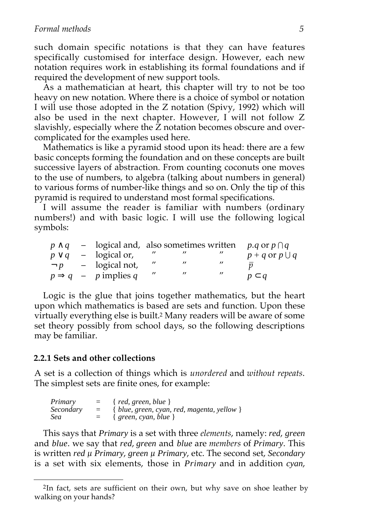such domain specific notations is that they can have features specifically customised for interface design. However, each new notation requires work in establishing its formal foundations and if required the development of new support tools.

As a mathematician at heart, this chapter will try to not be too heavy on new notation. Where there is a choice of symbol or notation I will use those adopted in the Z notation (Spivy, 1992) which will also be used in the next chapter. However, I will not follow Z slavishly, especially where the Z notation becomes obscure and overcomplicated for the examples used here.

Mathematics is like a pyramid stood upon its head: there are a few basic concepts forming the foundation and on these concepts are built successive layers of abstraction. From counting coconuts one moves to the use of numbers, to algebra (talking about numbers in general) to various forms of number-like things and so on. Only the tip of this pyramid is required to understand most formal specifications.

I will assume the reader is familiar with numbers (ordinary numbers!) and with basic logic. I will use the following logical symbols:

|          | $p \wedge q$ – logical and, also sometimes written p.q or $p \cap q$ |                          |                   |                       |
|----------|----------------------------------------------------------------------|--------------------------|-------------------|-----------------------|
|          | $p \vee q$ – logical or,                                             |                          |                   | $p + q$ or $p \cup q$ |
| $\neg p$ | - logical not,                                                       | $\overline{\phantom{a}}$ | $^{\prime\prime}$ |                       |
|          | $p \Rightarrow q$ – p implies q                                      | $^{\prime\prime}$        | $^{\prime\prime}$ | $p \subset q$         |

Logic is the glue that joins together mathematics, but the heart upon which mathematics is based are sets and function. Upon these virtually everything else is built.2 Many readers will be aware of some set theory possibly from school days, so the following descriptions may be familiar.

#### **2.2.1 Sets and other collections**

A set is a collection of things which is *unordered* and *without repeats*. The simplest sets are finite ones, for example:

| Primary   | $\equiv$ | $\{red, green, blue\}$                         |
|-----------|----------|------------------------------------------------|
| Secondary | $\equiv$ | $\{ blue, green, cyan, red, magenta, yellow\}$ |
| Sea       | $\equiv$ | $\{green, cyan, blue\}$                        |

This says that *Primary* is a set with three *elements*, namely: *red*, *green* and *blue*. we say that *red*, *green* and *blue* are *members* of *Primary*. This is written *red* µ *Primary*, *green* µ *Primary*, etc. The second set, *Secondary* is a set with six elements, those in *Primary* and in addition *cyan*,

<sup>2</sup>In fact, sets are sufficient on their own, but why save on shoe leather by walking on your hands?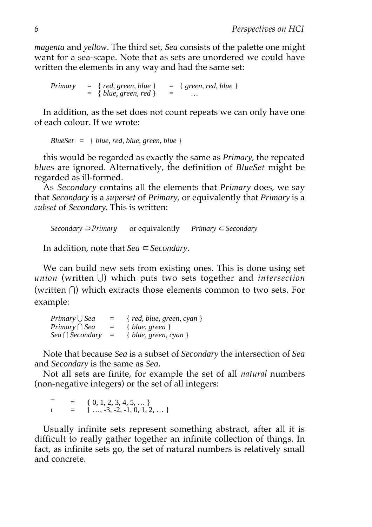*magenta* and *yellow*. The third set, *Sea* consists of the palette one might want for a sea-scape. Note that as sets are unordered we could have written the elements in any way and had the same set:

*Primary =* { *red, green, blue* } *=* { *green, red, blue* } *=* { *blue, green, red* } *= …*

In addition, as the set does not count repeats we can only have one of each colour. If we wrote:

```
BlueSet = { blue, red, blue, green, blue }
```
this would be regarded as exactly the same as *Primary*, the repeated *blue*s are ignored. Alternatively, the definition of *BlueSet* might be regarded as ill-formed.

As *Secondary* contains all the elements that *Primary* does, we say that *Secondary* is a *superset* of *Primary*, or equivalently that *Primary* is a *subset* of *Secondary*. This is written:

*Secondary* ⊃ *Primary* or equivalently *Primary* ⊂ *Secondary*

In addition, note that *Sea* ⊂ *Secondary*.

We can build new sets from existing ones. This is done using set *union* (written U) which puts two sets together and *intersection* (written  $\cap$ ) which extracts those elements common to two sets. For example:

| Primary $\bigcup$ Sea                       | $=$ | $\{ red, blue, green, cyan \}$ |
|---------------------------------------------|-----|--------------------------------|
| <i>Primary</i> $\bigcap$ <i>Sea</i>         | $=$ | $\{blue, green\}$              |
| $\textit{Seq} \bigcap \textit{Secondary}$ = |     | $\{ blue, green, cyan\}$       |

Note that because *Sea* is a subset of *Secondary* the intersection of *Sea* and *Secondary* is the same as *Sea*.

Not all sets are finite, for example the set of all *natural* numbers (non-negative integers) or the set of all integers:

```
¯ = { 0, 1, 2, 3, 4, 5, … }
= { …, -3, -2, -1, 0, 1, 2, … }
```
Usually infinite sets represent something abstract, after all it is difficult to really gather together an infinite collection of things. In fact, as infinite sets go, the set of natural numbers is relatively small and concrete.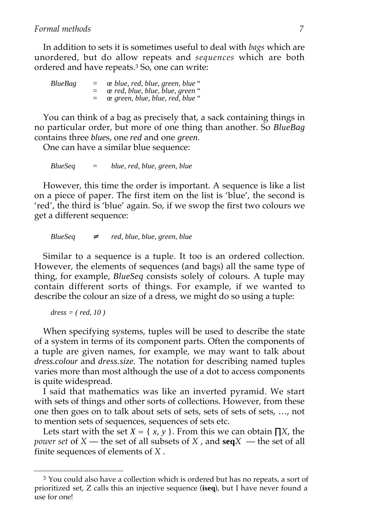#### *Formal methods 7*

In addition to sets it is sometimes useful to deal with *bags* which are unordered, but do allow repeats and *sequences* which are both ordered and have repeats.3 So, one can write:

| <b>BlueBag</b> | $=$ | ce blue, red, blue, green, blue " |
|----------------|-----|-----------------------------------|
|                |     | ce red, blue, blue, blue, green " |
|                |     | on green, blue, blue, red, blue " |

You can think of a bag as precisely that, a sack containing things in no particular order, but more of one thing than another. So *BlueBag* contains three *blue*s, one *red* and one *green*.

One can have a similar blue sequence:

*BlueSeq =* 〈 *blue, red, blue, green, blue* 〉

However, this time the order is important. A sequence is like a list on a piece of paper. The first item on the list is 'blue', the second is 'red', the third is 'blue' again. So, if we swop the first two colours we get a different sequence:

```
BlueSeq \neq \langle red, blue, blue, green, blue \rangle
```
Similar to a sequence is a tuple. It too is an ordered collection. However, the elements of sequences (and bags) all the same type of thing, for example, *BlueSeq* consists solely of colours. A tuple may contain different sorts of things. For example, if we wanted to describe the colour an size of a dress, we might do so using a tuple:

*dress = ( red, 10 )*

When specifying systems, tuples will be used to describe the state of a system in terms of its component parts. Often the components of a tuple are given names, for example, we may want to talk about *dress.colour* and *dress.size.* The notation for describing named tuples varies more than most although the use of a dot to access components is quite widespread.

I said that mathematics was like an inverted pyramid. We start with sets of things and other sorts of collections. However, from these one then goes on to talk about sets of sets, sets of sets of sets, …, not to mention sets of sequences, sequences of sets etc.

Lets start with the set *X* = { *x*, *y* }. From this we can obtain  $\prod X$ , the *power set* of  $X$  — the set of all subsets of  $X$ , and  $\text{seq } X$  — the set of all finite sequences of elements of *X* .

<sup>&</sup>lt;sup>3</sup> You could also have a collection which is ordered but has no repeats, a sort of prioritized set, Z calls this an injective sequence (**iseq**), but I have never found a use for one!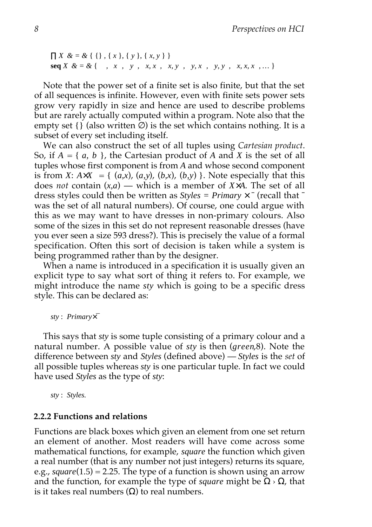$\prod X \&= \& \{ \}$ ,  $\{ x \}, \{ y \}, \{ x, y \}$ **seq**  $X \& = \& \{ \langle \rangle, \langle x \rangle, \langle y \rangle, \langle x, x \rangle, \langle x, y \rangle, \langle y, x \rangle, \langle y, y \rangle, \langle x, x, x \rangle, \dots \}$ 

Note that the power set of a finite set is also finite, but that the set of all sequences is infinite. However, even with finite sets power sets grow very rapidly in size and hence are used to describe problems but are rarely actually computed within a program. Note also that the empty set {  $\}$  (also written  $\emptyset$ ) is the set which contains nothing. It is a subset of every set including itself.

We can also construct the set of all tuples using *Cartesian product*. So, if  $A = \{a, b\}$ , the Cartesian product of  $A$  and  $X$  is the set of all tuples whose first component is from *A* and whose second component is from *X*:  $A \times X = \{ (a,x), (a,y), (b,x), (b,y) \}$ . Note especially that this does *not* contain  $(x,a)$  — which is a member of *X* $\times$ *A*. The set of all dress styles could then be written as *Styles = Primary* × ¯ (recall that ¯ was the set of all natural numbers). Of course, one could argue with this as we may want to have dresses in non-primary colours. Also some of the sizes in this set do not represent reasonable dresses (have you ever seen a size 593 dress?). This is precisely the value of a formal specification. Often this sort of decision is taken while a system is being programmed rather than by the designer.

When a name is introduced in a specification it is usually given an explicit type to say what sort of thing it refers to. For example, we might introduce the name *sty* which is going to be a specific dress style. This can be declared as:

*sty* : *Primary*×¯

This says that *sty* is some tuple consisting of a primary colour and a natural number. A possible value of *sty* is then (*green*,8). Note the difference between *sty* and *Styles* (defined above) — *Styles* is the *set* of all possible tuples whereas *sty* is one particular tuple. In fact we could have used *Styles* as the type of *sty*:

*sty* : *Styles.*

#### **2.2.2 Functions and relations**

Functions are black boxes which given an element from one set return an element of another. Most readers will have come across some mathematical functions, for example, *square* the function which given a real number (that is any number not just integers) returns its square, e.g., *square*(1.5) = 2.25. The type of a function is shown using an arrow and the function, for example the type of *square* might be  $\Omega$  >  $\Omega$ , that is it takes real numbers  $(Ω)$  to real numbers.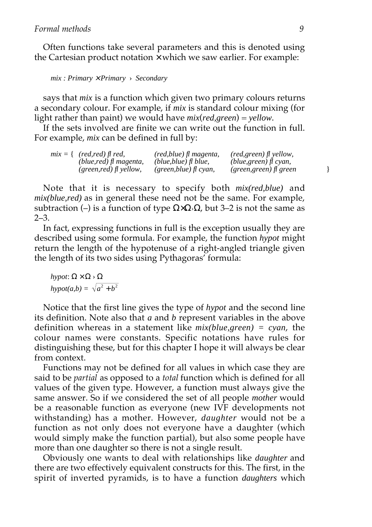Often functions take several parameters and this is denoted using the Cartesian product notation  $\times$  which we saw earlier. For example:

*mix : Primary* × *Primary* › *Secondary*

says that *mix* is a function which given two primary colours returns a secondary colour. For example, if *mix* is standard colour mixing (for light rather than paint) we would have *mix*(*red,green*) = *yellow*.

If the sets involved are finite we can write out the function in full. For example, *mix* can be defined in full by:

| $mix = \{ \quad (red, red) \ fl \ red,$ | $(\text{red,blue})$ fl magenta, | $(\text{red,green})$ fl yellow, |  |
|-----------------------------------------|---------------------------------|---------------------------------|--|
| (blue, red) $\beta$ magenta,            | $(blue, blue)$ fl blue,         | (blue, green) fl cyan,          |  |
| $(green, red)$ fl yellow,               | $(green, blue)$ fl cyan,        | $(green, green)$ fl green       |  |

Note that it is necessary to specify both *mix(red,blue)* and *mix(blue,red)* as in general these need not be the same. For example, subtraction (–) is a function of type  $\Omega \times \Omega_2$ , but 3–2 is not the same as  $2 - 3$ .

In fact, expressing functions in full is the exception usually they are described using some formula. For example, the function *hypot* might return the length of the hypotenuse of a right-angled triangle given the length of its two sides using Pythagoras' formula:

 $h$ *ypot*:  $\Omega \times \Omega \times \Omega$  $hypot(a,b) = \sqrt{a^2 + b^2}$ 

Notice that the first line gives the type of *hypot* and the second line its definition. Note also that *a* and *b* represent variables in the above definition whereas in a statement like *mix(blue,green) = cyan*, the colour names were constants. Specific notations have rules for distinguishing these, but for this chapter I hope it will always be clear from context.

Functions may not be defined for all values in which case they are said to be *partial* as opposed to a *total* function which is defined for all values of the given type. However, a function must always give the same answer. So if we considered the set of all people *mother* would be a reasonable function as everyone (new IVF developments not withstanding) has a mother. However, *daughter* would not be a function as not only does not everyone have a daughter (which would simply make the function partial), but also some people have more than one daughter so there is not a single result.

Obviously one wants to deal with relationships like *daughter* and there are two effectively equivalent constructs for this. The first, in the spirit of inverted pyramids, is to have a function *daughters* which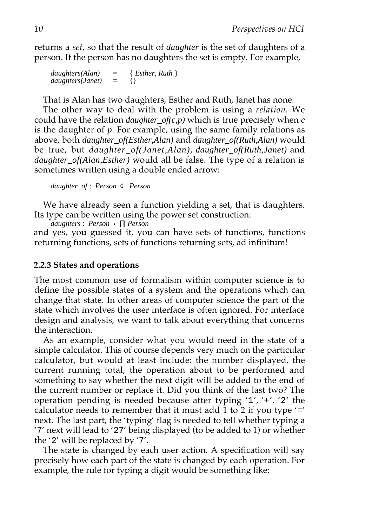returns a *set*, so that the result of *daughter* is the set of daughters of a person. If the person has no daughters the set is empty. For example,

*daughters(Alan) =* { *Esther, Ruth* } *daughters(Janet) =* {}

That is Alan has two daughters, Esther and Ruth, Janet has none.

The other way to deal with the problem is using a *relation*. We could have the relation *daughter\_of(c,p)* which is true precisely when *c* is the daughter of *p*. For example, using the same family relations as above, both *daughter\_of(Esther,Alan)* and *daughter\_of(Ruth,Alan)* would be true, but *daughter\_of(Janet,Alan)*, *daughter\_of(Ruth,Janet)* and *daughter\_of(Alan,Esther)* would all be false. The type of a relation is sometimes written using a double ended arrow:

```
daughter_of : Person ¢ Person
```
We have already seen a function yielding a set, that is daughters. Its type can be written using the power set construction:

*daughters* : *Person* › ∏ *Person*

and yes, you guessed it, you can have sets of functions, functions returning functions, sets of functions returning sets, ad infinitum!

### **2.2.3 States and operations**

The most common use of formalism within computer science is to define the possible states of a system and the operations which can change that state. In other areas of computer science the part of the state which involves the user interface is often ignored. For interface design and analysis, we want to talk about everything that concerns the interaction.

As an example, consider what you would need in the state of a simple calculator. This of course depends very much on the particular calculator, but would at least include: the number displayed, the current running total, the operation about to be performed and something to say whether the next digit will be added to the end of the current number or replace it. Did you think of the last two? The operation pending is needed because after typing '1', '+', '2' the calculator needs to remember that it must add 1 to 2 if you type '=' next. The last part, the 'typing' flag is needed to tell whether typing a '7' next will lead to '27' being displayed (to be added to 1) or whether the '2' will be replaced by '7'.

The state is changed by each user action. A specification will say precisely how each part of the state is changed by each operation. For example, the rule for typing a digit would be something like: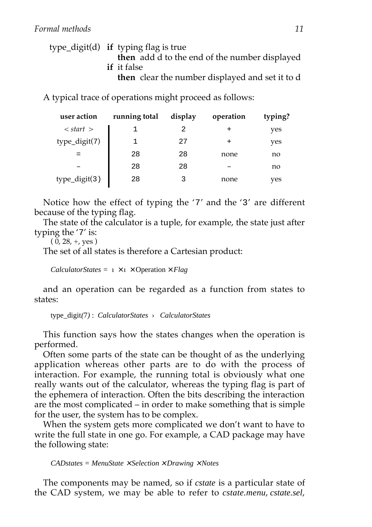### type\_digit(d) **if** typing flag is true **then** add d to the end of the number displayed **if** it false **then** clear the number displayed and set it to d

A typical trace of operations might proceed as follows:

| user action      | running total | display | operation | typing? |
|------------------|---------------|---------|-----------|---------|
| $<$ start $>$    |               |         |           | yes     |
| $type\_digit(7)$ |               | 27      | $\pm$     | yes     |
|                  | 28            | 28      | none      | no      |
|                  | 28            | 28      |           | no      |
| $type\_digit(3)$ | 28            | 3       | none      | yes     |

Notice how the effect of typing the '7' and the '3' are different because of the typing flag.

The state of the calculator is a tuple, for example, the state just after typing the '7' is:

 $($  0, 28, +, yes)

The set of all states is therefore a Cartesian product:

*CalculatorStates* =  $_1 \times_1 \times$  Operation  $\times$  *Flag* 

and an operation can be regarded as a function from states to states:

type\_digit*(*7*)* : *CalculatorStates* › *CalculatorStates*

This function says how the states changes when the operation is performed.

Often some parts of the state can be thought of as the underlying application whereas other parts are to do with the process of interaction. For example, the running total is obviously what one really wants out of the calculator, whereas the typing flag is part of the ephemera of interaction. Often the bits describing the interaction are the most complicated – in order to make something that is simple for the user, the system has to be complex.

When the system gets more complicated we don't want to have to write the full state in one go. For example, a CAD package may have the following state:

*CADstates = MenuState* × *Selection* × *Drawing* × *Notes*

The components may be named, so if *cstate* is a particular state of the CAD system, we may be able to refer to *cstate.menu*, *cstate.sel*,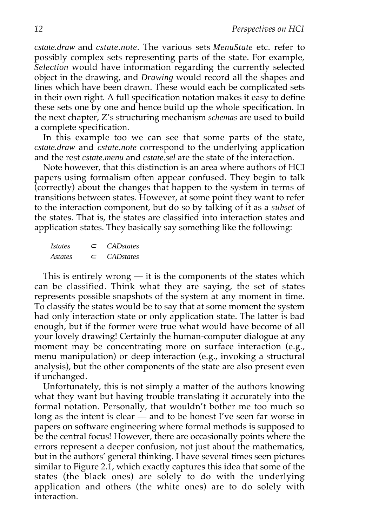*cstate.draw* and *cstate.note*. The various sets *MenuState* etc. refer to possibly complex sets representing parts of the state. For example, *Selection* would have information regarding the currently selected object in the drawing, and *Drawing* would record all the shapes and lines which have been drawn. These would each be complicated sets in their own right. A full specification notation makes it easy to define these sets one by one and hence build up the whole specification. In the next chapter, Z's structuring mechanism *schemas* are used to build a complete specification.

In this example too we can see that some parts of the state, *cstate.draw* and *cstate.note* correspond to the underlying application and the rest *cstate.menu* and *cstate.sel* are the state of the interaction.

Note however, that this distinction is an area where authors of HCI papers using formalism often appear confused. They begin to talk (correctly) about the changes that happen to the system in terms of transitions between states. However, at some point they want to refer to the interaction component, but do so by talking of it as a *subset* of the states. That is, the states are classified into interaction states and application states. They basically say something like the following:

*Istates* <sup>⊂</sup> *CADstates Astates* <sup>⊂</sup> *CADstates*

This is entirely wrong  $-$  it is the components of the states which can be classified. Think what they are saying, the set of states represents possible snapshots of the system at any moment in time. To classify the states would be to say that at some moment the system had only interaction state or only application state. The latter is bad enough, but if the former were true what would have become of all your lovely drawing! Certainly the human-computer dialogue at any moment may be concentrating more on surface interaction (e.g., menu manipulation) or deep interaction (e.g., invoking a structural analysis), but the other components of the state are also present even if unchanged.

Unfortunately, this is not simply a matter of the authors knowing what they want but having trouble translating it accurately into the formal notation. Personally, that wouldn't bother me too much so long as the intent is clear — and to be honest I've seen far worse in papers on software engineering where formal methods is supposed to be the central focus! However, there are occasionally points where the errors represent a deeper confusion, not just about the mathematics, but in the authors' general thinking. I have several times seen pictures similar to Figure 2.1, which exactly captures this idea that some of the states (the black ones) are solely to do with the underlying application and others (the white ones) are to do solely with interaction.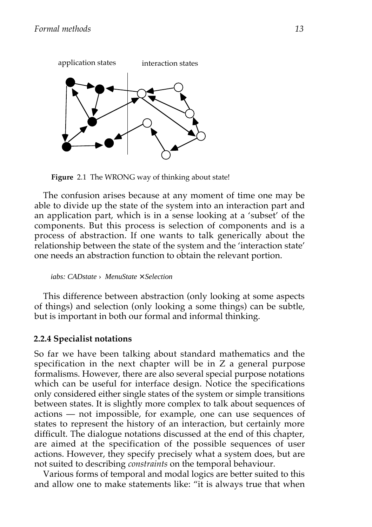

**Figure** 2.1 The WRONG way of thinking about state!

The confusion arises because at any moment of time one may be able to divide up the state of the system into an interaction part and an application part, which is in a sense looking at a 'subset' of the components. But this process is selection of components and is a process of abstraction. If one wants to talk generically about the relationship between the state of the system and the 'interaction state' one needs an abstraction function to obtain the relevant portion.

#### *iabs: CADstate* › *MenuState* × *Selection*

This difference between abstraction (only looking at some aspects of things) and selection (only looking a some things) can be subtle, but is important in both our formal and informal thinking.

#### **2.2.4 Specialist notations**

So far we have been talking about standard mathematics and the specification in the next chapter will be in Z a general purpose formalisms. However, there are also several special purpose notations which can be useful for interface design. Notice the specifications only considered either single states of the system or simple transitions between states. It is slightly more complex to talk about sequences of actions — not impossible, for example, one can use sequences of states to represent the history of an interaction, but certainly more difficult. The dialogue notations discussed at the end of this chapter, are aimed at the specification of the possible sequences of user actions. However, they specify precisely what a system does, but are not suited to describing *constraints* on the temporal behaviour.

Various forms of temporal and modal logics are better suited to this and allow one to make statements like: "it is always true that when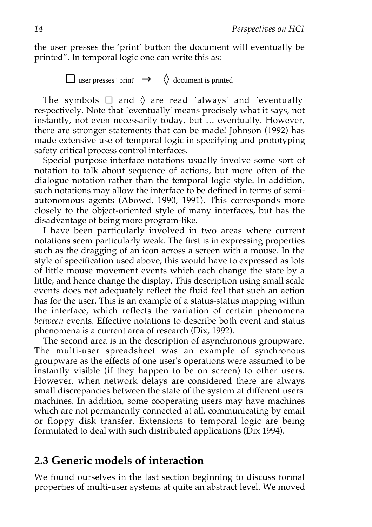the user presses the 'print' button the document will eventually be printed". In temporal logic one can write this as:

 $\Box$  user presses ' print'  $\implies$   $\Diamond$  document is printed

The symbols ❏ and ◊ are read `always' and `eventually' respectively. Note that `eventually' means precisely what it says, not instantly, not even necessarily today, but … eventually. However, there are stronger statements that can be made! Johnson (1992) has made extensive use of temporal logic in specifying and prototyping safety critical process control interfaces.

Special purpose interface notations usually involve some sort of notation to talk about sequence of actions, but more often of the dialogue notation rather than the temporal logic style. In addition, such notations may allow the interface to be defined in terms of semiautonomous agents (Abowd, 1990, 1991). This corresponds more closely to the object-oriented style of many interfaces, but has the disadvantage of being more program-like.

I have been particularly involved in two areas where current notations seem particularly weak. The first is in expressing properties such as the dragging of an icon across a screen with a mouse. In the style of specification used above, this would have to expressed as lots of little mouse movement events which each change the state by a little, and hence change the display. This description using small scale events does not adequately reflect the fluid feel that such an action has for the user. This is an example of a status-status mapping within the interface, which reflects the variation of certain phenomena *between* events. Effective notations to describe both event and status phenomena is a current area of research (Dix, 1992).

The second area is in the description of asynchronous groupware. The multi-user spreadsheet was an example of synchronous groupware as the effects of one user's operations were assumed to be instantly visible (if they happen to be on screen) to other users. However, when network delays are considered there are always small discrepancies between the state of the system at different users' machines. In addition, some cooperating users may have machines which are not permanently connected at all, communicating by email or floppy disk transfer. Extensions to temporal logic are being formulated to deal with such distributed applications (Dix 1994).

## **2.3 Generic models of interaction**

We found ourselves in the last section beginning to discuss formal properties of multi-user systems at quite an abstract level. We moved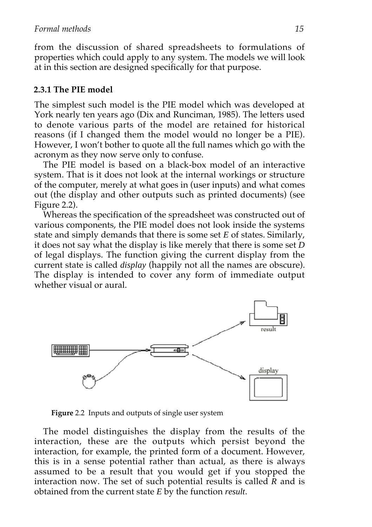from the discussion of shared spreadsheets to formulations of properties which could apply to any system. The models we will look at in this section are designed specifically for that purpose.

#### **2.3.1 The PIE model**

The simplest such model is the PIE model which was developed at York nearly ten years ago (Dix and Runciman, 1985). The letters used to denote various parts of the model are retained for historical reasons (if I changed them the model would no longer be a PIE). However, I won't bother to quote all the full names which go with the acronym as they now serve only to confuse.

The PIE model is based on a black-box model of an interactive system. That is it does not look at the internal workings or structure of the computer, merely at what goes in (user inputs) and what comes out (the display and other outputs such as printed documents) (see Figure 2.2).

Whereas the specification of the spreadsheet was constructed out of various components, the PIE model does not look inside the systems state and simply demands that there is some set *E* of states. Similarly, it does not say what the display is like merely that there is some set *D* of legal displays. The function giving the current display from the current state is called *display* (happily not all the names are obscure). The display is intended to cover any form of immediate output whether visual or aural.



**Figure** 2.2 Inputs and outputs of single user system

The model distinguishes the display from the results of the interaction, these are the outputs which persist beyond the interaction, for example, the printed form of a document. However, this is in a sense potential rather than actual, as there is always assumed to be a result that you would get if you stopped the interaction now. The set of such potential results is called *R* and is obtained from the current state *E* by the function *result*.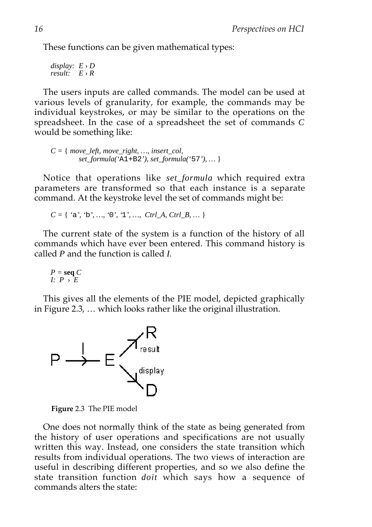These functions can be given mathematical types:

*display:*  $E \rightarrow D$  $r$ *esult:*  $E \rightarrow R$ 

The users inputs are called commands. The model can be used at various levels of granularity, for example, the commands may be individual keystrokes, or may be similar to the operations on the spreadsheet. In the case of a spreadsheet the set of commands *C* would be something like:

*C =* { *move\_left, move\_right, …, insert\_col, set\_formula('*A1+B2*'), set\_formula('*57*'), …* }

Notice that operations like *set\_formula* which required extra parameters are transformed so that each instance is a separate command. At the keystroke level the set of commands might be:

*C =* { *'*a*', '*b*', …, '*0*', '*1*', …, Ctrl\_A, Ctrl\_B, …* }

The current state of the system is a function of the history of all commands which have ever been entered. This command history is called *P* and the function is called *I*.

 $P = \text{seq } C$ *I:*  $P \rightarrow E$ 

This gives all the elements of the PIE model, depicted graphically in Figure 2.3, … which looks rather like the original illustration.



**Figure** 2.3 The PIE model

One does not normally think of the state as being generated from the history of user operations and specifications are not usually written this way. Instead, one considers the state transition which results from individual operations. The two views of interaction are useful in describing different properties, and so we also define the state transition function *doit* which says how a sequence of commands alters the state: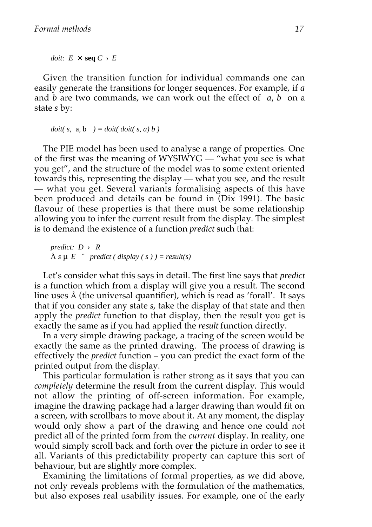```
doit: E \times \text{seq } C \times E
```
Given the transition function for individual commands one can easily generate the transitions for longer sequences. For example, if *a* and *b* are two commands, we can work out the effect of  $\langle a, b \rangle$  on a state *s* by:

*doit( s,*  $\langle a, b \rangle$  *) = doit( doit( s, a) b)* 

The PIE model has been used to analyse a range of properties. One of the first was the meaning of WYSIWYG — "what you see is what you get", and the structure of the model was to some extent oriented towards this, representing the display — what you see, and the result — what you get. Several variants formalising aspects of this have been produced and details can be found in (Dix 1991). The basic flavour of these properties is that there must be some relationship allowing you to infer the current result from the display. The simplest is to demand the existence of a function *predict* such that:

*predict: D* › *R*  $\hat{A}$ *s* µ *E*  $\hat{B}$  *predict ( display ( s ) ) = result(s)* 

Let's consider what this says in detail. The first line says that *predict* is a function which from a display will give you a result. The second line uses Å (the universal quantifier), which is read as 'forall'. It says that if you consider any state *s*, take the display of that state and then apply the *predict* function to that display, then the result you get is exactly the same as if you had applied the *result* function directly.

In a very simple drawing package, a tracing of the screen would be exactly the same as the printed drawing. The process of drawing is effectively the *predict* function – you can predict the exact form of the printed output from the display.

This particular formulation is rather strong as it says that you can *completely* determine the result from the current display. This would not allow the printing of off-screen information. For example, imagine the drawing package had a larger drawing than would fit on a screen, with scrollbars to move about it. At any moment, the display would only show a part of the drawing and hence one could not predict all of the printed form from the *current* display. In reality, one would simply scroll back and forth over the picture in order to see it all. Variants of this predictability property can capture this sort of behaviour, but are slightly more complex.

Examining the limitations of formal properties, as we did above, not only reveals problems with the formulation of the mathematics, but also exposes real usability issues. For example, one of the early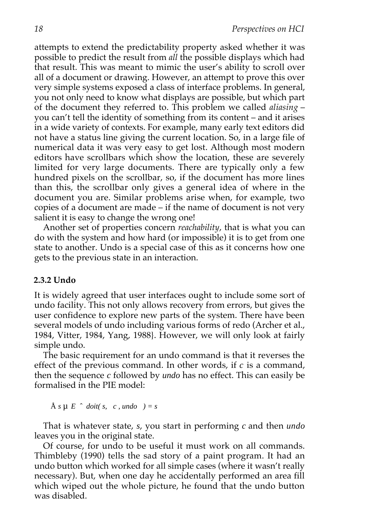attempts to extend the predictability property asked whether it was possible to predict the result from *all* the possible displays which had that result. This was meant to mimic the user's ability to scroll over all of a document or drawing. However, an attempt to prove this over very simple systems exposed a class of interface problems. In general, you not only need to know what displays are possible, but which part of the document they referred to. This problem we called *aliasing* – you can't tell the identity of something from its content – and it arises in a wide variety of contexts. For example, many early text editors did not have a status line giving the current location. So, in a large file of numerical data it was very easy to get lost. Although most modern editors have scrollbars which show the location, these are severely limited for very large documents. There are typically only a few hundred pixels on the scrollbar, so, if the document has more lines than this, the scrollbar only gives a general idea of where in the document you are. Similar problems arise when, for example, two copies of a document are made – if the name of document is not very salient it is easy to change the wrong one!

Another set of properties concern *reachability*, that is what you can do with the system and how hard (or impossible) it is to get from one state to another. Undo is a special case of this as it concerns how one gets to the previous state in an interaction.

## **2.3.2 Undo**

It is widely agreed that user interfaces ought to include some sort of undo facility. This not only allows recovery from errors, but gives the user confidence to explore new parts of the system. There have been several models of undo including various forms of redo (Archer et al., 1984, Vitter, 1984, Yang, 1988}. However, we will only look at fairly simple undo.

The basic requirement for an undo command is that it reverses the effect of the previous command. In other words, if *c* is a command, then the sequence *c* followed by *undo* has no effect. This can easily be formalised in the PIE model:

 $\stackrel{\circ}{A}$ *s*  $\upmu$  *E*  $\stackrel{\circ}{ }$  *doit*(*s*,  $\langle c$ *, undo*  $\rangle$ ) = *s* 

That is whatever state, *s*, you start in performing *c* and then *undo* leaves you in the original state.

Of course, for undo to be useful it must work on all commands. Thimbleby (1990) tells the sad story of a paint program. It had an undo button which worked for all simple cases (where it wasn't really necessary). But, when one day he accidentally performed an area fill which wiped out the whole picture, he found that the undo button was disabled.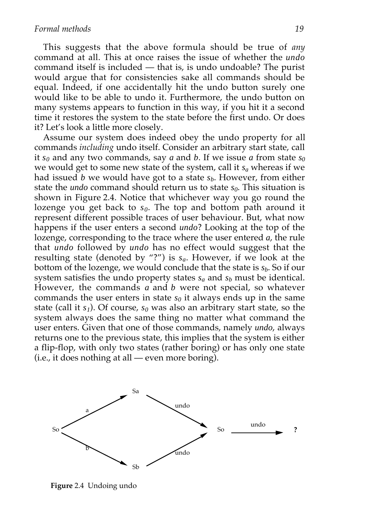#### *Formal methods 19*

This suggests that the above formula should be true of *any* command at all. This at once raises the issue of whether the *undo* command itself is included — that is, is undo undoable? The purist would argue that for consistencies sake all commands should be equal. Indeed, if one accidentally hit the undo button surely one would like to be able to undo it. Furthermore, the undo button on many systems appears to function in this way, if you hit it a second time it restores the system to the state before the first undo. Or does it? Let's look a little more closely.

Assume our system does indeed obey the undo property for all commands *including* undo itself. Consider an arbitrary start state, call it  $s_0$  and any two commands, say *a* and *b*. If we issue *a* from state  $s_0$ we would get to some new state of the system, call it *sa* whereas if we had issued *b* we would have got to a state  $s<sub>b</sub>$ . However, from either state the *undo* command should return us to state *s0*. This situation is shown in Figure 2.4. Notice that whichever way you go round the lozenge you get back to  $s_0$ . The top and bottom path around it represent different possible traces of user behaviour. But, what now happens if the user enters a second *undo*? Looking at the top of the lozenge, corresponding to the trace where the user entered *a*, the rule that *undo* followed by *undo* has no effect would suggest that the resulting state (denoted by "?") is *sa*. However, if we look at the bottom of the lozenge, we would conclude that the state is  $s<sub>b</sub>$ . So if our system satisfies the undo property states  $s_a$  and  $s_b$  must be identical. However, the commands *a* and *b* were not special, so whatever commands the user enters in state  $s_0$  it always ends up in the same state (call it  $s_1$ ). Of course,  $s_0$  was also an arbitrary start state, so the system always does the same thing no matter what command the user enters. Given that one of those commands, namely *undo*, always returns one to the previous state, this implies that the system is either a flip-flop, with only two states (rather boring) or has only one state (i.e., it does nothing at all — even more boring).



**Figure** 2.4 Undoing undo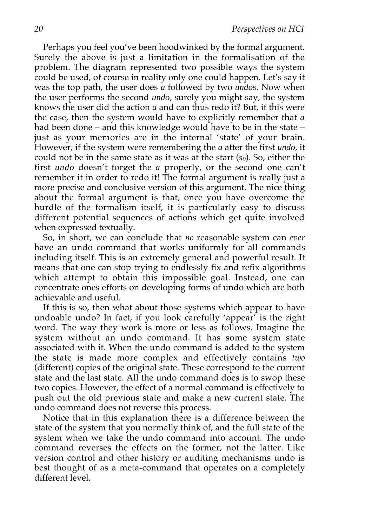Perhaps you feel you've been hoodwinked by the formal argument. Surely the above is just a limitation in the formalisation of the problem. The diagram represented two possible ways the system could be used, of course in reality only one could happen. Let's say it was the top path, the user does *a* followed by two *undo*s. Now when the user performs the second *undo*, surely you might say, the system knows the user did the action *a* and can thus redo it? But, if this were the case, then the system would have to explicitly remember that *a* had been done – and this knowledge would have to be in the state – just as your memories are in the internal 'state' of your brain. However, if the system were remembering the *a* after the first *undo*, it could not be in the same state as it was at the start  $(s_0)$ . So, either the first *undo* doesn't forget the *a* properly, or the second one can't remember it in order to redo it! The formal argument is really just a more precise and conclusive version of this argument. The nice thing about the formal argument is that, once you have overcome the hurdle of the formalism itself, it is particularly easy to discuss different potential sequences of actions which get quite involved when expressed textually.

So, in short, we can conclude that *no* reasonable system can *ever* have an undo command that works uniformly for all commands including itself. This is an extremely general and powerful result. It means that one can stop trying to endlessly fix and refix algorithms which attempt to obtain this impossible goal. Instead, one can concentrate ones efforts on developing forms of undo which are both achievable and useful.

If this is so, then what about those systems which appear to have undoable undo? In fact, if you look carefully 'appear' is the right word. The way they work is more or less as follows. Imagine the system without an undo command. It has some system state associated with it. When the undo command is added to the system the state is made more complex and effectively contains *two* (different) copies of the original state. These correspond to the current state and the last state. All the undo command does is to swop these two copies. However, the effect of a normal command is effectively to push out the old previous state and make a new current state. The undo command does not reverse this process.

Notice that in this explanation there is a difference between the state of the system that you normally think of, and the full state of the system when we take the undo command into account. The undo command reverses the effects on the former, not the latter. Like version control and other history or auditing mechanisms undo is best thought of as a meta-command that operates on a completely different level.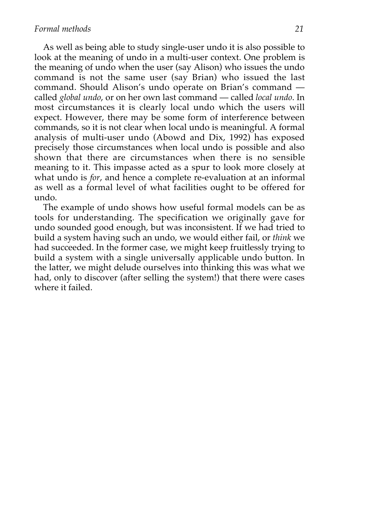#### *Formal methods 21*

As well as being able to study single-user undo it is also possible to look at the meaning of undo in a multi-user context. One problem is the meaning of undo when the user (say Alison) who issues the undo command is not the same user (say Brian) who issued the last command. Should Alison's undo operate on Brian's command called *global undo*, or on her own last command — called *local undo*. In most circumstances it is clearly local undo which the users will expect. However, there may be some form of interference between commands, so it is not clear when local undo is meaningful. A formal analysis of multi-user undo (Abowd and Dix, 1992) has exposed precisely those circumstances when local undo is possible and also shown that there are circumstances when there is no sensible meaning to it. This impasse acted as a spur to look more closely at what undo is *for*, and hence a complete re-evaluation at an informal as well as a formal level of what facilities ought to be offered for undo.

The example of undo shows how useful formal models can be as tools for understanding. The specification we originally gave for undo sounded good enough, but was inconsistent. If we had tried to build a system having such an undo, we would either fail, or *think* we had succeeded. In the former case, we might keep fruitlessly trying to build a system with a single universally applicable undo button. In the latter, we might delude ourselves into thinking this was what we had, only to discover (after selling the system!) that there were cases where it failed.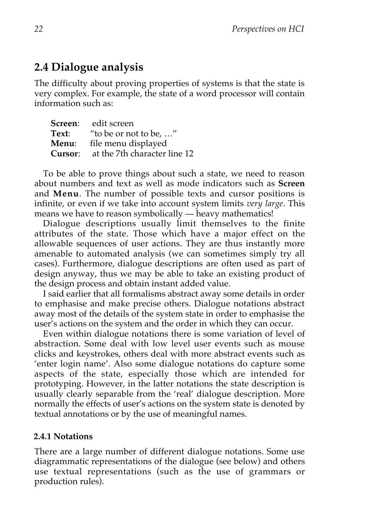## **2.4 Dialogue analysis**

The difficulty about proving properties of systems is that the state is very complex. For example, the state of a word processor will contain information such as:

|       | <b>Screen:</b> edit screen                  |
|-------|---------------------------------------------|
| Text: | " to be or not to be, $\ldots$ "            |
| Menu: | file menu displayed                         |
|       | <b>Cursor:</b> at the 7th character line 12 |

To be able to prove things about such a state, we need to reason about numbers and text as well as mode indicators such as **Screen** and **Menu**. The number of possible texts and cursor positions is infinite, or even if we take into account system limits *very large*. This means we have to reason symbolically — heavy mathematics!

Dialogue descriptions usually limit themselves to the finite attributes of the state. Those which have a major effect on the allowable sequences of user actions. They are thus instantly more amenable to automated analysis (we can sometimes simply try all cases). Furthermore, dialogue descriptions are often used as part of design anyway, thus we may be able to take an existing product of the design process and obtain instant added value.

I said earlier that all formalisms abstract away some details in order to emphasise and make precise others. Dialogue notations abstract away most of the details of the system state in order to emphasise the user's actions on the system and the order in which they can occur.

Even within dialogue notations there is some variation of level of abstraction. Some deal with low level user events such as mouse clicks and keystrokes, others deal with more abstract events such as 'enter login name'. Also some dialogue notations do capture some aspects of the state, especially those which are intended for prototyping. However, in the latter notations the state description is usually clearly separable from the 'real' dialogue description. More normally the effects of user's actions on the system state is denoted by textual annotations or by the use of meaningful names.

## **2.4.1 Notations**

There are a large number of different dialogue notations. Some use diagrammatic representations of the dialogue (see below) and others use textual representations (such as the use of grammars or production rules).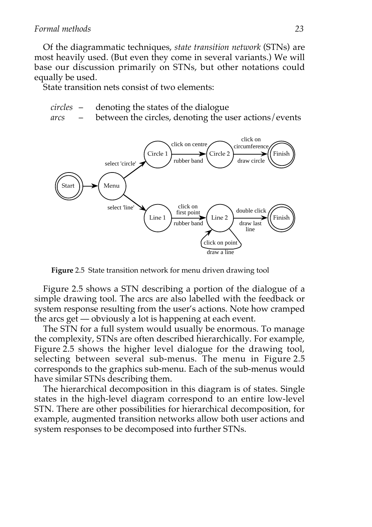Of the diagrammatic techniques, *state transition network* (STNs) are most heavily used. (But even they come in several variants.) We will base our discussion primarily on STNs, but other notations could equally be used.

State transition nets consist of two elements:

*circles* – denoting the states of the dialogue

*arcs* – between the circles, denoting the user actions/events



**Figure** 2.5 State transition network for menu driven drawing tool

Figure 2.5 shows a STN describing a portion of the dialogue of a simple drawing tool. The arcs are also labelled with the feedback or system response resulting from the user's actions. Note how cramped the arcs get — obviously a lot is happening at each event.

The STN for a full system would usually be enormous. To manage the complexity, STNs are often described hierarchically. For example, Figure 2.5 shows the higher level dialogue for the drawing tool, selecting between several sub-menus. The menu in Figure 2.5 corresponds to the graphics sub-menu. Each of the sub-menus would have similar STNs describing them.

The hierarchical decomposition in this diagram is of states. Single states in the high-level diagram correspond to an entire low-level STN. There are other possibilities for hierarchical decomposition, for example, augmented transition networks allow both user actions and system responses to be decomposed into further STNs.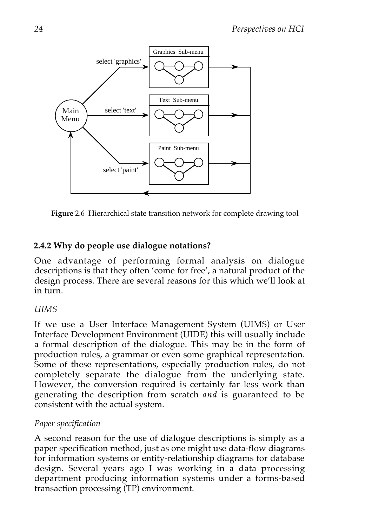

**Figure** 2.6 Hierarchical state transition network for complete drawing tool

## **2.4.2 Why do people use dialogue notations?**

One advantage of performing formal analysis on dialogue descriptions is that they often 'come for free', a natural product of the design process. There are several reasons for this which we'll look at in turn.

## *UIMS*

If we use a User Interface Management System (UIMS) or User Interface Development Environment (UIDE) this will usually include a formal description of the dialogue. This may be in the form of production rules, a grammar or even some graphical representation. Some of these representations, especially production rules, do not completely separate the dialogue from the underlying state. However, the conversion required is certainly far less work than generating the description from scratch *and* is guaranteed to be consistent with the actual system.

## *Paper specification*

A second reason for the use of dialogue descriptions is simply as a paper specification method, just as one might use data-flow diagrams for information systems or entity-relationship diagrams for database design. Several years ago I was working in a data processing department producing information systems under a forms-based transaction processing (TP) environment.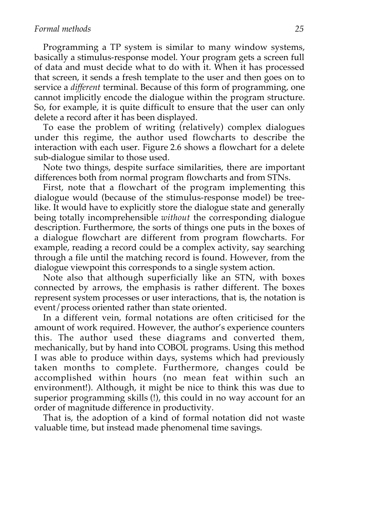Programming a TP system is similar to many window systems, basically a stimulus-response model. Your program gets a screen full of data and must decide what to do with it. When it has processed that screen, it sends a fresh template to the user and then goes on to service a *different* terminal. Because of this form of programming, one cannot implicitly encode the dialogue within the program structure. So, for example, it is quite difficult to ensure that the user can only delete a record after it has been displayed.

To ease the problem of writing (relatively) complex dialogues under this regime, the author used flowcharts to describe the interaction with each user. Figure 2.6 shows a flowchart for a delete sub-dialogue similar to those used.

Note two things, despite surface similarities, there are important differences both from normal program flowcharts and from STNs.

First, note that a flowchart of the program implementing this dialogue would (because of the stimulus-response model) be treelike. It would have to explicitly store the dialogue state and generally being totally incomprehensible *without* the corresponding dialogue description. Furthermore, the sorts of things one puts in the boxes of a dialogue flowchart are different from program flowcharts. For example, reading a record could be a complex activity, say searching through a file until the matching record is found. However, from the dialogue viewpoint this corresponds to a single system action.

Note also that although superficially like an STN, with boxes connected by arrows, the emphasis is rather different. The boxes represent system processes or user interactions, that is, the notation is event/process oriented rather than state oriented.

In a different vein, formal notations are often criticised for the amount of work required. However, the author's experience counters this. The author used these diagrams and converted them, mechanically, but by hand into COBOL programs. Using this method I was able to produce within days, systems which had previously taken months to complete. Furthermore, changes could be accomplished within hours (no mean feat within such an environment!). Although, it might be nice to think this was due to superior programming skills (!), this could in no way account for an order of magnitude difference in productivity.

That is, the adoption of a kind of formal notation did not waste valuable time, but instead made phenomenal time savings.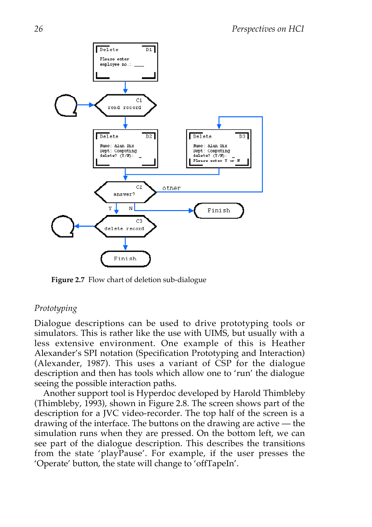

**Figure 2.7** Flow chart of deletion sub-dialogue

## *Prototyping*

Dialogue descriptions can be used to drive prototyping tools or simulators. This is rather like the use with UIMS, but usually with a less extensive environment. One example of this is Heather Alexander's SPI notation (Specification Prototyping and Interaction) (Alexander, 1987). This uses a variant of CSP for the dialogue description and then has tools which allow one to 'run' the dialogue seeing the possible interaction paths.

Another support tool is Hyperdoc developed by Harold Thimbleby (Thimbleby, 1993), shown in Figure 2.8. The screen shows part of the description for a JVC video-recorder. The top half of the screen is a drawing of the interface. The buttons on the drawing are active — the simulation runs when they are pressed. On the bottom left, we can see part of the dialogue description. This describes the transitions from the state 'playPause'. For example, if the user presses the 'Operate' button, the state will change to 'offTapeIn'.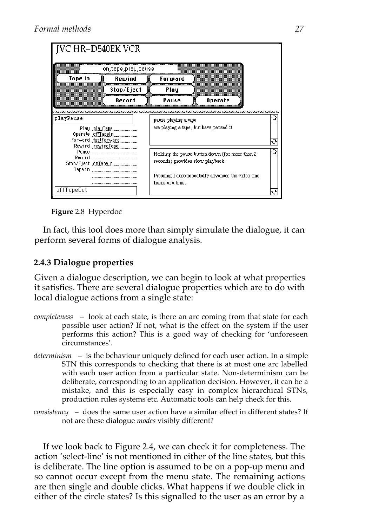|                                                           | on,tape,play,pause |                                  |                                                  |
|-----------------------------------------------------------|--------------------|----------------------------------|--------------------------------------------------|
| Tape in                                                   | Rewind             | Forward                          |                                                  |
|                                                           | Stop/Eject         | Play                             |                                                  |
|                                                           | Record             | Pause                            | <b>Operate</b>                                   |
|                                                           |                    |                                  |                                                  |
| playPause                                                 |                    | pause playing a tape             |                                                  |
| Play playTape<br>Operate offTapeln<br>Forward fastForward |                    |                                  | are playing a tape, but have paused it           |
| Rewind rewindTape<br>Pause                                |                    |                                  |                                                  |
| Record<br>Stop/Eject <u>onTapeln</u>                      |                    | seconds) provides slow playback. | Holding the pause button down (for more than 2)  |
| Tape in                                                   |                    |                                  | Pressing Pause repeatedly advances the video one |
| offTapeOut                                                |                    | frame at a time.                 |                                                  |

**Figure** 2.8 Hyperdoc

In fact, this tool does more than simply simulate the dialogue, it can perform several forms of dialogue analysis.

## **2.4.3 Dialogue properties**

Given a dialogue description, we can begin to look at what properties it satisfies. There are several dialogue properties which are to do with local dialogue actions from a single state:

- *completeness* look at each state, is there an arc coming from that state for each possible user action? If not, what is the effect on the system if the user performs this action? This is a good way of checking for 'unforeseen circumstances'.
- *determinism* is the behaviour uniquely defined for each user action. In a simple STN this corresponds to checking that there is at most one arc labelled with each user action from a particular state. Non-determinism can be deliberate, corresponding to an application decision. However, it can be a mistake, and this is especially easy in complex hierarchical STNs, production rules systems etc. Automatic tools can help check for this.
- *consistency* does the same user action have a similar effect in different states? If not are these dialogue *modes* visibly different?

If we look back to Figure 2.4, we can check it for completeness. The action 'select-line' is not mentioned in either of the line states, but this is deliberate. The line option is assumed to be on a pop-up menu and so cannot occur except from the menu state. The remaining actions are then single and double clicks. What happens if we double click in either of the circle states? Is this signalled to the user as an error by a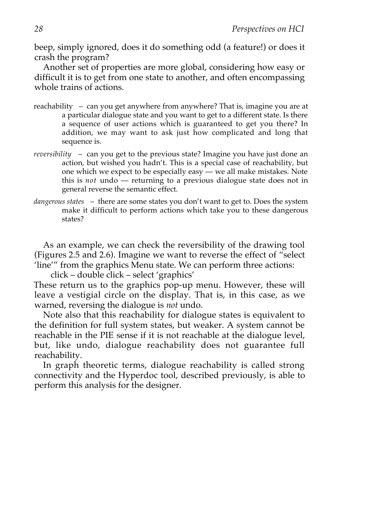beep, simply ignored, does it do something odd (a feature!) or does it crash the program?

Another set of properties are more global, considering how easy or difficult it is to get from one state to another, and often encompassing whole trains of actions.

- reachability can you get anywhere from anywhere? That is, imagine you are at a particular dialogue state and you want to get to a different state. Is there a sequence of user actions which is guaranteed to get you there? In addition, we may want to ask just how complicated and long that sequence is.
- *reversibility* can you get to the previous state? Imagine you have just done an action, but wished you hadn't. This is a special case of reachability, but one which we expect to be especially easy — we all make mistakes. Note this is *not* undo — returning to a previous dialogue state does not in general reverse the semantic effect.
- *dangerous states* there are some states you don't want to get to. Does the system make it difficult to perform actions which take you to these dangerous states?

As an example, we can check the reversibility of the drawing tool (Figures 2.5 and 2.6). Imagine we want to reverse the effect of "select 'line'" from the graphics Menu state. We can perform three actions:

click – double click – select 'graphics' These return us to the graphics pop-up menu. However, these will leave a vestigial circle on the display. That is, in this case, as we warned, reversing the dialogue is *not* undo.

Note also that this reachability for dialogue states is equivalent to the definition for full system states, but weaker. A system cannot be reachable in the PIE sense if it is not reachable at the dialogue level, but, like undo, dialogue reachability does not guarantee full reachability.

In graph theoretic terms, dialogue reachability is called strong connectivity and the Hyperdoc tool, described previously, is able to perform this analysis for the designer.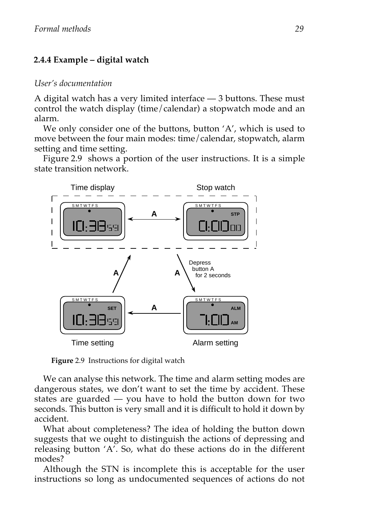## **2.4.4 Example – digital watch**

### *User's documentation*

A digital watch has a very limited interface — 3 buttons. These must control the watch display (time/calendar) a stopwatch mode and an alarm.

We only consider one of the buttons, button 'A', which is used to move between the four main modes: time/calendar, stopwatch, alarm setting and time setting.

Figure 2.9 shows a portion of the user instructions. It is a simple state transition network.



**Figure** 2.9 Instructions for digital watch

We can analyse this network. The time and alarm setting modes are dangerous states, we don't want to set the time by accident. These states are guarded — you have to hold the button down for two seconds. This button is very small and it is difficult to hold it down by accident.

What about completeness? The idea of holding the button down suggests that we ought to distinguish the actions of depressing and releasing button 'A'. So, what do these actions do in the different modes?

Although the STN is incomplete this is acceptable for the user instructions so long as undocumented sequences of actions do not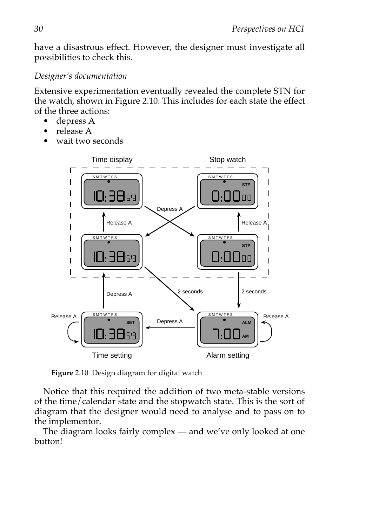have a disastrous effect. However, the designer must investigate all possibilities to check this.

## *Designer's documentation*

Extensive experimentation eventually revealed the complete STN for the watch, shown in Figure 2.10. This includes for each state the effect of the three actions:

- depress A
- release A
- wait two seconds



**Figure** 2.10 Design diagram for digital watch

Notice that this required the addition of two meta-stable versions of the time/calendar state and the stopwatch state. This is the sort of diagram that the designer would need to analyse and to pass on to the implementor.

The diagram looks fairly complex — and we've only looked at one button!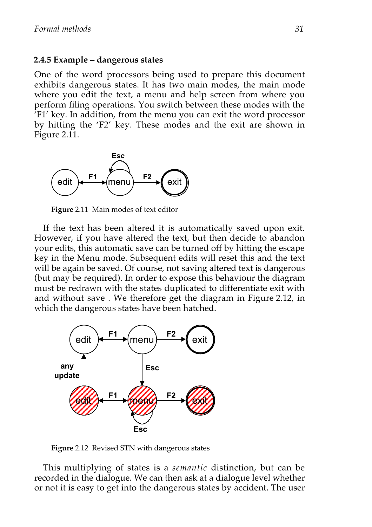#### **2.4.5 Example – dangerous states**

One of the word processors being used to prepare this document exhibits dangerous states. It has two main modes, the main mode where you edit the text, a menu and help screen from where you perform filing operations. You switch between these modes with the 'F1' key. In addition, from the menu you can exit the word processor by hitting the 'F2' key. These modes and the exit are shown in Figure 2.11.



**Figure** 2.11 Main modes of text editor

If the text has been altered it is automatically saved upon exit. However, if you have altered the text, but then decide to abandon your edits, this automatic save can be turned off by hitting the escape key in the Menu mode. Subsequent edits will reset this and the text will be again be saved. Of course, not saving altered text is dangerous (but may be required). In order to expose this behaviour the diagram must be redrawn with the states duplicated to differentiate exit with and without save . We therefore get the diagram in Figure 2.12, in which the dangerous states have been hatched.



**Figure** 2.12 Revised STN with dangerous states

This multiplying of states is a *semantic* distinction, but can be recorded in the dialogue. We can then ask at a dialogue level whether or not it is easy to get into the dangerous states by accident. The user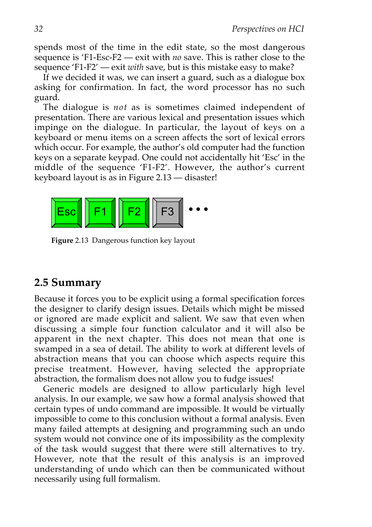spends most of the time in the edit state, so the most dangerous sequence is 'F1-Esc-F2 — exit with *no* save. This is rather close to the sequence 'F1-F2' — exit *with* save, but is this mistake easy to make?

If we decided it was, we can insert a guard, such as a dialogue box asking for confirmation. In fact, the word processor has no such guard.

The dialogue is *not* as is sometimes claimed independent of presentation. There are various lexical and presentation issues which impinge on the dialogue. In particular, the layout of keys on a keyboard or menu items on a screen affects the sort of lexical errors which occur. For example, the author's old computer had the function keys on a separate keypad. One could not accidentally hit 'Esc' in the middle of the sequence 'F1-F2'. However, the author's current keyboard layout is as in Figure 2.13 — disaster!



**Figure** 2.13 Dangerous function key layout

## **2.5 Summary**

Because it forces you to be explicit using a formal specification forces the designer to clarify design issues. Details which might be missed or ignored are made explicit and salient. We saw that even when discussing a simple four function calculator and it will also be apparent in the next chapter. This does not mean that one is swamped in a sea of detail. The ability to work at different levels of abstraction means that you can choose which aspects require this precise treatment. However, having selected the appropriate abstraction, the formalism does not allow you to fudge issues!

Generic models are designed to allow particularly high level analysis. In our example, we saw how a formal analysis showed that certain types of undo command are impossible. It would be virtually impossible to come to this conclusion without a formal analysis. Even many failed attempts at designing and programming such an undo system would not convince one of its impossibility as the complexity of the task would suggest that there were still alternatives to try. However, note that the result of this analysis is an improved understanding of undo which can then be communicated without necessarily using full formalism.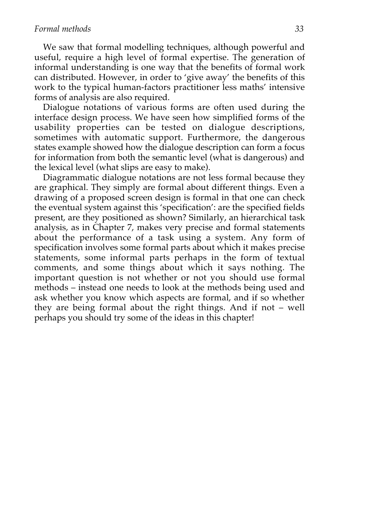#### *Formal methods 33*

We saw that formal modelling techniques, although powerful and useful, require a high level of formal expertise. The generation of informal understanding is one way that the benefits of formal work can distributed. However, in order to 'give away' the benefits of this work to the typical human-factors practitioner less maths' intensive forms of analysis are also required.

Dialogue notations of various forms are often used during the interface design process. We have seen how simplified forms of the usability properties can be tested on dialogue descriptions, sometimes with automatic support. Furthermore, the dangerous states example showed how the dialogue description can form a focus for information from both the semantic level (what is dangerous) and the lexical level (what slips are easy to make).

Diagrammatic dialogue notations are not less formal because they are graphical. They simply are formal about different things. Even a drawing of a proposed screen design is formal in that one can check the eventual system against this 'specification': are the specified fields present, are they positioned as shown? Similarly, an hierarchical task analysis, as in Chapter 7, makes very precise and formal statements about the performance of a task using a system. Any form of specification involves some formal parts about which it makes precise statements, some informal parts perhaps in the form of textual comments, and some things about which it says nothing. The important question is not whether or not you should use formal methods – instead one needs to look at the methods being used and ask whether you know which aspects are formal, and if so whether they are being formal about the right things. And if not – well perhaps you should try some of the ideas in this chapter!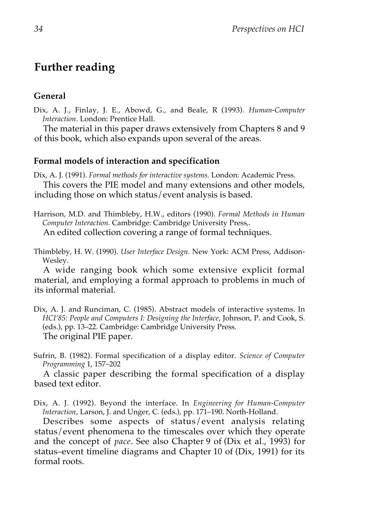## **Further reading**

### **General**

Dix, A. J., Finlay, J. E., Abowd, G., and Beale, R (1993). *Human-Computer Interaction*. London: Prentice Hall.

The material in this paper draws extensively from Chapters 8 and 9 of this book, which also expands upon several of the areas.

### **Formal models of interaction and specification**

Dix, A. J. (1991). *Formal methods for interactive systems.* London: Academic Press. This covers the PIE model and many extensions and other models, including those on which status/event analysis is based.

- Harrison, M.D. and Thimbleby, H.W., editors (1990). *Formal Methods in Human Computer Interaction.* Cambridge: Cambridge University Press,. An edited collection covering a range of formal techniques.
- Thimbleby, H. W. (1990). *User Interface Design.* New York: ACM Press, Addison-Wesley.

A wide ranging book which some extensive explicit formal material, and employing a formal approach to problems in much of its informal material.

- Dix, A. J. and Runciman, C. (1985). Abstract models of interactive systems. In *HCI'85: People and Computers I: Designing the Interface*, Johnson, P. and Cook, S. (eds.), pp. 13–22. Cambridge: Cambridge University Press. The original PIE paper.
- Sufrin, B. (1982). Formal specification of a display editor. *Science of Computer Programming* 1, 157–202

A classic paper describing the formal specification of a display based text editor.

Dix, A. J. (1992). Beyond the interface. In *Engineering for Human-Computer Interaction*, Larson, J. and Unger, C. (eds.), pp. 171–190. North-Holland.

Describes some aspects of status/event analysis relating status/event phenomena to the timescales over which they operate and the concept of *pace*. See also Chapter 9 of (Dix et al., 1993) for status–event timeline diagrams and Chapter 10 of (Dix, 1991) for its formal roots.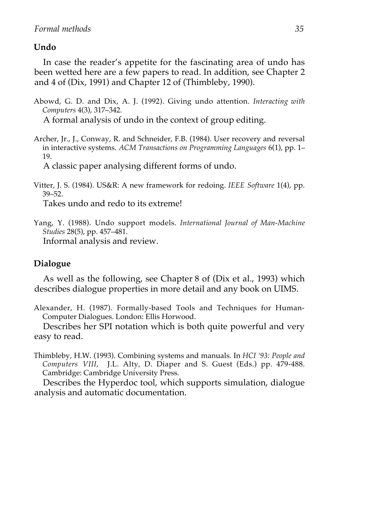## **Undo**

In case the reader's appetite for the fascinating area of undo has been wetted here are a few papers to read. In addition, see Chapter 2 and 4 of (Dix, 1991) and Chapter 12 of (Thimbleby, 1990).

Abowd, G. D. and Dix, A. J. (1992). Giving undo attention. *Interacting with Computers* 4(3), 317–342.

A formal analysis of undo in the context of group editing.

Archer, Jr., J., Conway, R. and Schneider, F.B. (1984). User recovery and reversal in interactive systems. *ACM Transactions on Programming Languages* 6(1), pp. 1– 19.

A classic paper analysing different forms of undo.

Vitter, J. S. (1984). US&R: A new framework for redoing. *IEEE Software* 1(4), pp. 39–52.

Takes undo and redo to its extreme!

Yang, Y. (1988). Undo support models. *International Journal of Man-Machine Studies* 28(5), pp. 457–481. Informal analysis and review.

## **Dialogue**

As well as the following, see Chapter 8 of (Dix et al., 1993) which describes dialogue properties in more detail and any book on UIMS.

Alexander, H. (1987). Formally-based Tools and Techniques for Human-Computer Dialogues. London: Ellis Horwood.

Describes her SPI notation which is both quite powerful and very easy to read.

Thimbleby, H.W. (1993). Combining systems and manuals. In *HCI '93: People and Computers VIII,* J.L. Alty, D. Diaper and S. Guest (Eds.) pp. 479-488. Cambridge: Cambridge University Press.

Describes the Hyperdoc tool, which supports simulation, dialogue analysis and automatic documentation.